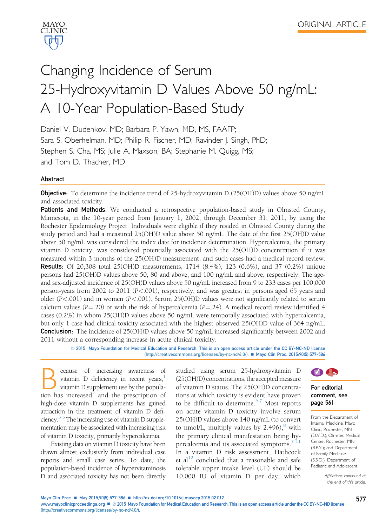

# Changing Incidence of Serum 25-Hydroxyvitamin D Values Above 50 ng/mL: A 10-Year Population-Based Study

Daniel V. Dudenkov, MD; Barbara P. Yawn, MD, MS, FAAFP; Sara S. Oberhelman, MD; Philip R. Fischer, MD; Ravinder J. Singh, PhD; Stephen S. Cha, MS; Julie A. Maxson, BA; Stephanie M. Quigg, MS; and Tom D. Thacher, MD

# Abstract

**Objective**: To determine the incidence trend of 25-hydroxyvitamin D (25(OH)D) values above 50 ng/mL and associated toxicity.

Patients and Methods: We conducted a retrospective population-based study in Olmsted County, Minnesota, in the 10-year period from January 1, 2002, through December 31, 2011, by using the Rochester Epidemiology Project. Individuals were eligible if they resided in Olmsted County during the study period and had a measured 25(OH)D value above 50 ng/mL. The date of the first 25(OH)D value above 50 ng/mL was considered the index date for incidence determination. Hypercalcemia, the primary vitamin D toxicity, was considered potentially associated with the 25(OH)D concentration if it was measured within 3 months of the 25(OH)D measurement, and such cases had a medical record review. Results: Of 20,308 total 25(OH)D measurements, 1714 (8.4%), 123 (0.6%), and 37 (0.2%) unique persons had 25(OH)D values above 50, 80 and above, and 100 ng/mL and above, respectively. The ageand sex-adjusted incidence of 25(OH)D values above 50 ng/mL increased from 9 to 233 cases per 100,000 person-years from 2002 to 2011 (P<.001), respectively, and was greatest in persons aged 65 years and older (P<.001) and in women (P<.001). Serum 25(OH)D values were not significantly related to serum calcium values (P=.20) or with the risk of hypercalcemia (P=.24). A medical record review identified 4 cases (0.2%) in whom 25(OH)D values above 50 ng/mL were temporally associated with hypercalcemia, but only 1 case had clinical toxicity associated with the highest observed 25(OH)D value of 364 ng/mL. **Conclusion:** The incidence of 25(OH)D values above 50 ng/mL increased significantly between 2002 and 2011 without a corresponding increase in acute clinical toxicity.

ª 2015 Mayo Foundation for Medical Education and Research. This is an open access article under the CC BY-NC-ND license [\(http://creativecommons.org/licenses/by-nc-nd/4.0/](http://creativecommons.org/licenses/by-nc-nd/4.�0/)). ■ Mayo Clin Proc. 2015;90(5):577-586

**Because** of increasing awareness of vitamin D deficiency in recent years,<sup>1</sup> vitamin D supplement use by the population has increased<sup>2</sup> and the prescription of vitamin D deficiency in recent years, $\frac{1}{1}$  $\frac{1}{1}$  $\frac{1}{1}$ vitamin D supplement use by the popula-tion has increased<sup>[2](#page-8-0)</sup> and the prescription of high-dose vitamin D supplements has gained attraction in the treatment of vitamin D deficiency. $3-5$  The increasing use of vitamin D supplementation may be associated with increasing risk of vitamin D toxicity, primarily hypercalcemia.

Existing data on vitamin D toxicity have been drawn almost exclusively from individual case reports and small case series. To date, the population-based incidence of hypervitaminosis D and associated toxicity has not been directly

studied using serum 25-hydroxyvitamin D (25(OH)D) concentrations, the accepted measure of vitamin D status. The 25(OH)D concentrations at which toxicity is evident have proven to be difficult to determine. $6,7$  Most reports on acute vitamin D toxicity involve serum 25(OH)D values above 140 ng/mL (to convert to nmol/L, multiply values by  $2.496$ , with the primary clinical manifestation being hypercalcemia and its associated symptoms. $7-11$ In a vitamin D risk assessment, Hathcock et al<sup>[12](#page-8-0)</sup> concluded that a reasonable and safe tolerable upper intake level (UL) should be 10,000 IU of vitamin D per day, which



#### For editorial comment, see page 561

From the Department of Internal Medicine, Mayo Clinic, Rochester, MN (D.V.D.); Olmsted Medical Center, Rochester, MN (B.P.Y.); and Department of Family Medicine (S.S.O.), Department of Pediatric and Adolescent

> Affiliations continued at the end of this article.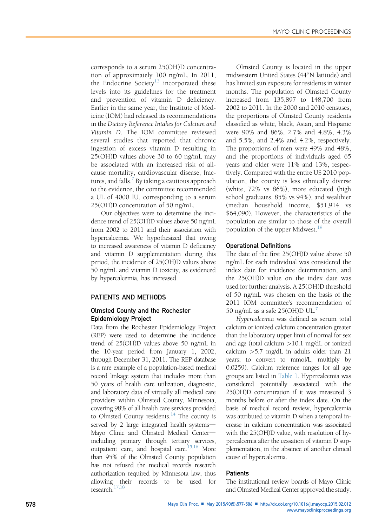corresponds to a serum 25(OH)D concentration of approximately 100 ng/mL. In 2011, the Endocrine Society<sup>[13](#page-8-0)</sup> incorporated these levels into its guidelines for the treatment and prevention of vitamin D deficiency. Earlier in the same year, the Institute of Medicine (IOM) had released its recommendations in the Dietary Reference Intakes for Calcium and Vitamin D. The IOM committee reviewed several studies that reported that chronic ingestion of excess vitamin D resulting in 25(OH)D values above 30 to 60 ng/mL may be associated with an increased risk of allcause mortality, cardiovascular disease, frac-tures, and falls.<sup>[7](#page-8-0)</sup> By taking a cautious approach to the evidence, the committee recommended a UL of 4000 IU, corresponding to a serum 25(OH)D concentration of 50 ng/mL.

Our objectives were to determine the incidence trend of 25(OH)D values above 50 ng/mL from 2002 to 2011 and their association with hypercalcemia. We hypothesized that owing to increased awareness of vitamin D deficiency and vitamin D supplementation during this period, the incidence of 25(OH)D values above 50 ng/mL and vitamin D toxicity, as evidenced by hypercalcemia, has increased.

# PATIENTS AND METHODS

# Olmsted County and the Rochester Epidemiology Project

Data from the Rochester Epidemiology Project (REP) were used to determine the incidence trend of 25(OH)D values above 50 ng/mL in the 10-year period from January 1, 2002, through December 31, 2011. The REP database is a rare example of a population-based medical record linkage system that includes more than 50 years of health care utilization, diagnostic, and laboratory data of virtually all medical care providers within Olmsted County, Minnesota, covering 98% of all health care services provided to Olmsted County residents. $14$  The county is served by 2 large integrated health systems-Mayo Clinic and Olmsted Medical Centerincluding primary through tertiary services, outpatient care, and hospital care.<sup>15,16</sup> More than 95% of the Olmsted County population has not refused the medical records research authorization required by Minnesota law, thus allowing their records to be used for research[.17,18](#page-8-0)

Olmsted County is located in the upper midwestern United States (44-N latitude) and has limited sun exposure for residents in winter months. The population of Olmsted County increased from 135,897 to 148,700 from 2002 to 2011. In the 2000 and 2010 censuses, the proportions of Olmsted County residents classified as white, black, Asian, and Hispanic were 90% and 86%, 2.7% and 4.8%, 4.3% and 5.5%, and 2.4% and 4.2%, respectively. The proportions of men were 49% and 48%, and the proportions of individuals aged 65 years and older were 11% and 13%, respectively. Compared with the entire US 2010 population, the county is less ethnically diverse (white, 72% vs 86%), more educated (high school graduates, 85% vs 94%), and wealthier (median household income, \$51,914 vs \$64,090). However, the characteristics of the population are similar to those of the overall population of the upper Midwest.<sup>[19](#page-8-0)</sup>

#### Operational Definitions

The date of the first 25(OH)D value above 50 ng/mL for each individual was considered the index date for incidence determination, and the 25(OH)D value on the index date was used for further analysis. A 25(OH)D threshold of 50 ng/mL was chosen on the basis of the 2011 IOM committee's recommendation of 50 ng/mL as a safe  $25(OH)D UL$ <sup>[7](#page-8-0)</sup>

Hypercalcemia was defined as serum total calcium or ionized calcium concentration greater than the laboratory upper limit of normal for sex and age (total calcium >10.1 mg/dL or ionized calcium >5.7 mg/dL in adults older than 21 years; to convert to mmol/L, multiply by 0.0259). Calcium reference ranges for all age groups are listed in [Table 1.](#page-2-0) Hypercalcemia was considered potentially associated with the 25(OH)D concentration if it was measured 3 months before or after the index date. On the basis of medical record review, hypercalcemia was attributed to vitamin D when a temporal increase in calcium concentration was associated with the 25(OH)D value, with resolution of hypercalcemia after the cessation of vitamin D supplementation, in the absence of another clinical cause of hypercalcemia.

## **Patients**

The institutional review boards of Mayo Clinic and Olmsted Medical Center approved the study.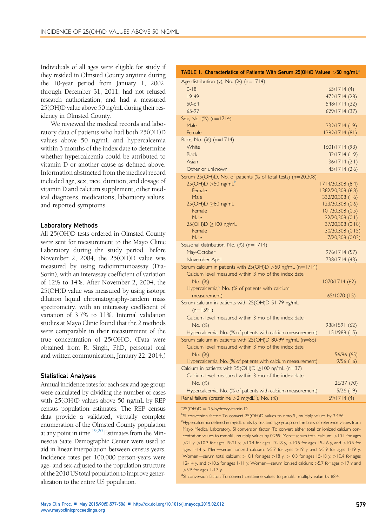<span id="page-2-0"></span>Individuals of all ages were eligible for study if they resided in Olmsted County anytime during the 10-year period from January 1, 2002, through December 31, 2011; had not refused research authorization; and had a measured 25(OH)D value above 50 ng/mL during their residency in Olmsted County.

We reviewed the medical records and laboratory data of patients who had both 25(OH)D values above 50 ng/mL and hypercalcemia within 3 months of the index date to determine whether hypercalcemia could be attributed to vitamin D or another cause as defined above. Information abstracted from the medical record included age, sex, race, duration, and dosage of vitamin D and calcium supplement, other medical diagnoses, medications, laboratory values, and reported symptoms.

#### Laboratory Methods

All 25(OH)D tests ordered in Olmsted County were sent for measurement to the Mayo Clinic Laboratory during the study period. Before November 2, 2004, the 25(OH)D value was measured by using radioimmunoassay (Dia-Sorin), with an interassay coefficient of variation of 12% to 14%. After November 2, 2004, the 25(OH)D value was measured by using isotope dilution liquid chromatography-tandem mass spectrometry, with an interassay coefficient of variation of 3.7% to 11%. Internal validation studies at Mayo Clinic found that the 2 methods were comparable in their measurement of the true concentration of 25(OH)D. (Data were obtained from R. Singh, PhD, personal oral and written communication, January 22, 2014.)

#### Statistical Analyses

Annual incidence rates for each sex and age group were calculated by dividing the number of cases with 25(OH)D values above 50 ng/mL by REP census population estimates. The REP census data provide a validated, virtually complete enumeration of the Olmsted County population at any point in time. $19,20$  Estimates from the Minnesota State Demographic Center were used to aid in linear interpolation between census years. Incidence rates per 100,000 person-years were age- and sex-adjusted to the population structure of the 2010 US total population to improve generalization to the entire US population.

| TABLE 1. Characteristics of Patients With Serum 25(OH)D Values $>$ 50 ng/mL $^\circ$                             |                                        |
|------------------------------------------------------------------------------------------------------------------|----------------------------------------|
| Age distribution (y), No. (%) (n=1714)                                                                           |                                        |
| $0 - 18$                                                                                                         | 65/1714(4)                             |
| $19-49$                                                                                                          | 472/1714 (28)                          |
| 50-64                                                                                                            | 548/1714 (32)                          |
| 65-97                                                                                                            | 629/1714 (37)                          |
| Sex, No. (%) (n=1714)<br>Male                                                                                    | 332/1714 (19)                          |
| Female                                                                                                           | 1382/1714 (81)                         |
| Race, No. (%) (n=1714)                                                                                           |                                        |
| White                                                                                                            | 1601/1714 (93)                         |
| <b>Black</b>                                                                                                     | 32/1714(1.9)                           |
| Asian                                                                                                            | 36/1714(2.1)                           |
| Other or unknown                                                                                                 | 45/1714(2.6)                           |
| Serum 25(OH)D, No. of patients (% of total tests) (n=20,308)<br>$25(OH)D > 50$ ng/mL <sup>b</sup>                |                                        |
| Female                                                                                                           | 1714/20,308 (8.4)<br>1382/20,308 (6.8) |
| <b>Male</b>                                                                                                      | 332/20,308 (1.6)                       |
| $25(OH)D \geq 80$ ng/mL                                                                                          | 123/20,308 (0.6)                       |
| Female                                                                                                           | 101/20,308(0.5)                        |
| Male                                                                                                             | 22/20,308 (0.1)                        |
| $25(OH)D \ge 100$ ng/mL<br>Female                                                                                | 37/20,308 (0.18)<br>30/20,308 (0.15)   |
| Male                                                                                                             | 7/20,308 (0.03)                        |
| Seasonal distribution, No. (%) (n=1714)                                                                          |                                        |
| May-October                                                                                                      | 976/1714 (57)                          |
| November-April                                                                                                   | 738/1714 (43)                          |
| Serum calcium in patients with 25(OH)D >50 ng/mL (n=1714)                                                        |                                        |
| Calcium level measured within 3 mo of the index date,                                                            |                                        |
| No. (%)                                                                                                          | 1070/1714 (62)                         |
| Hypercalcemia, <sup>c</sup> No. (% of patients with calcium<br>measurement)                                      | 165/1070(15)                           |
| Serum calcium in patients with 25(OH)D 51-79 ng/mL                                                               |                                        |
| $(n=1591)$                                                                                                       |                                        |
| Calcium level measured within 3 mo of the index date,                                                            |                                        |
| No. (%)                                                                                                          | 988/1591 (62)                          |
| Hypercalcemia, No. (% of patients with calcium measurement)                                                      | 151/988 (15)                           |
| Serum calcium in patients with 25(OH)D 80-99 ng/mL (n=86)                                                        |                                        |
| Calcium level measured within 3 mo of the index date,                                                            |                                        |
| No. (%)                                                                                                          | 56/86 (65)                             |
| Hypercalcemia, No. (% of patients with calcium measurement)                                                      | 9/56(16)                               |
| Calcium in patients with $25(OH)D \ge 100$ ng/mL (n=37)<br>Calcium level measured within 3 mo of the index date, |                                        |
| No. (%)                                                                                                          | 26/37 (70)                             |
| Hypercalcemia, No. (% of patients with calcium measurement)                                                      | 5/26(19)                               |
| Renal failure (creatinine >2 mg/dL <sup>d</sup> ), No. (%)                                                       | 69/1714(4)                             |

 $a^2$ 25(OH)D = 25-hydroxyvitamin D.<br>bsl comercian factor To comert 25

<sup>b</sup>SI conversion factor: To convert 25(OH)D values to nmol/L, multiply values by 2.496.

Hypercalcemia defined in mg/dL units by sex and age group on the basis of reference values from Mayo Medical Laboratory. SI conversion factor: To convert either total or ionized calcium concentration values to mmol/L, multiply values by 0.259. Men-serum total calcium: >10.1 for ages >21 y, >10.3 for ages 19-21 y, >10.4 for ages 17-18 y, >10.5 for ages 15-16 y, and >10.6 for ages 1-14 y. Men-serum ionized calcium:  $>5.7$  for ages  $>19$  y and  $>5.9$  for ages 1-19 y. Women-serum total calcium:  $>10.1$  for ages  $>18$  y,  $>10.3$  for ages 15-18 y,  $>10.4$  for ages 12-14 y, and  $>$ 10.6 for ages 1-11 y. Women-serum ionized calcium:  $>$ 5.7 for ages  $>$ 17 y and >5.9 for ages 1-17 y.

<sup>d</sup>SI conversion factor: To convert creatinine values to umol/L, multiply value by 88.4.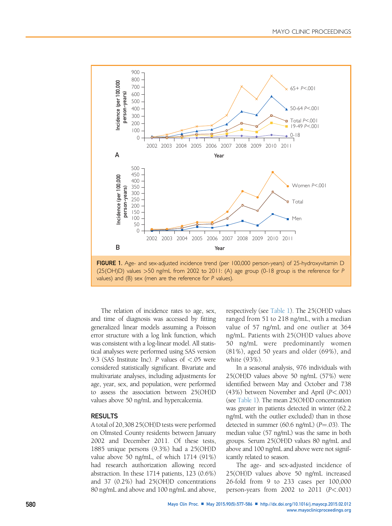<span id="page-3-0"></span>

The relation of incidence rates to age, sex, and time of diagnosis was accessed by fitting generalized linear models assuming a Poisson error structure with a log link function, which was consistent with a log-linear model. All statistical analyses were performed using SAS version 9.3 (SAS Institute Inc). P values of  $\lt$  05 were considered statistically significant. Bivariate and multivariate analyses, including adjustments for age, year, sex, and population, were performed to assess the association between 25(OH)D values above 50 ng/mL and hypercalcemia.

# **RESULTS**

A total of 20,308 25(OH)D tests were performed on Olmsted County residents between January 2002 and December 2011. Of these tests, 1885 unique persons (9.3%) had a 25(OH)D value above 50 ng/mL, of which 1714 (91%) had research authorization allowing record abstraction. In these 1714 patients, 123 (0.6%) and 37 (0.2%) had 25(OH)D concentrations 80 ng/mL and above and 100 ng/mL and above, respectively (see [Table 1](#page-2-0)). The 25(OH)D values ranged from 51 to 218 ng/mL, with a median value of 57 ng/mL and one outlier at 364 ng/mL. Patients with 25(OH)D values above 50 ng/mL were predominantly women (81%), aged 50 years and older (69%), and white (93%).

In a seasonal analysis, 976 individuals with 25(OH)D values above 50 ng/mL (57%) were identified between May and October and 738 (43%) between November and April (P<.001) (see [Table 1](#page-2-0)). The mean 25(OH)D concentration was greater in patients detected in winter (62.2 ng/mL with the outlier excluded) than in those detected in summer (60.6 ng/mL) ( $P = .03$ ). The median value (57 ng/mL) was the same in both groups. Serum 25(OH)D values 80 ng/mL and above and 100 ng/mL and above were not significantly related to season.

The age- and sex-adjusted incidence of 25(OH)D values above 50 ng/mL increased 26-fold from 9 to 233 cases per 100,000 person-years from  $2002$  to  $2011$   $(P<.001)$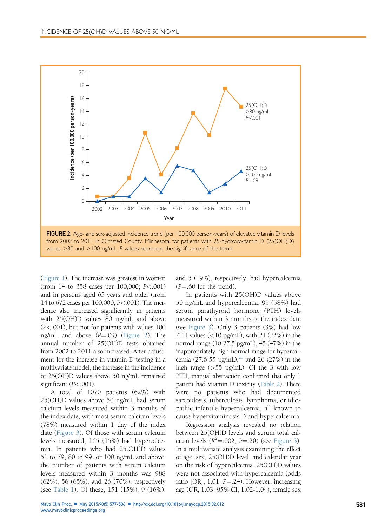

([Figure 1](#page-3-0)). The increase was greatest in women (from 14 to 358 cases per 100,000; P<.001) and in persons aged 65 years and older (from 14 to 672 cases per 100,000; P<.001). The incidence also increased significantly in patients with 25(OH)D values 80 ng/mL and above (P<.001), but not for patients with values 100 ng/mL and above  $(P=.09)$  (Figure 2). The annual number of 25(OH)D tests obtained from 2002 to 2011 also increased. After adjustment for the increase in vitamin D testing in a multivariate model, the increase in the incidence of 25(OH)D values above 50 ng/mL remained significant (P<.001).

A total of 1070 patients (62%) with 25(OH)D values above 50 ng/mL had serum calcium levels measured within 3 months of the index date, with most serum calcium levels (78%) measured within 1 day of the index date ([Figure 3\)](#page-5-0). Of those with serum calcium levels measured, 165 (15%) had hypercalcemia. In patients who had 25(OH)D values 51 to 79, 80 to 99, or 100 ng/mL and above, the number of patients with serum calcium levels measured within 3 months was 988 (62%), 56 (65%), and 26 (70%), respectively (see [Table 1\)](#page-2-0). Of these, 151 (15%), 9 (16%),

and 5 (19%), respectively, had hypercalcemia  $(P = .60$  for the trend).

In patients with 25(OH)D values above 50 ng/mL and hypercalcemia, 95 (58%) had serum parathyroid hormone (PTH) levels measured within 3 months of the index date (see [Figure 3\)](#page-5-0). Only 3 patients (3%) had low PTH values  $(<$ 10 pg/mL), with 21 (22%) in the normal range (10-27.5 pg/mL), 45 (47%) in the inappropriately high normal range for hypercalcemia (27.6-55 pg/mL),<sup>21</sup> and 26 (27%) in the high range (>55 pg/mL). Of the 3 with low PTH, manual abstraction confirmed that only 1 patient had vitamin D toxicity [\(Table 2](#page-6-0)). There were no patients who had documented sarcoidosis, tuberculosis, lymphoma, or idiopathic infantile hypercalcemia, all known to cause hypervitaminosis D and hypercalcemia.

Regression analysis revealed no relation between 25(OH)D levels and serum total calcium levels  $(R^2 = .002; P = .20)$  (see [Figure 3\)](#page-5-0). In a multivariate analysis examining the effect of age, sex, 25(OH)D level, and calendar year on the risk of hypercalcemia, 25(OH)D values were not associated with hypercalcemia (odds ratio  $[OR]$ , 1.01;  $P = .24$ ). However, increasing age (OR, 1.03; 95% CI, 1.02-1.04), female sex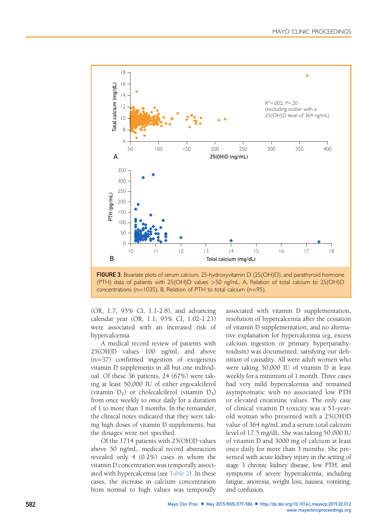<span id="page-5-0"></span>



(OR, 1.7; 95% CI, 1.1-2.8), and advancing calendar year (OR, 1.1; 95% CI, 1.02-1.23) were associated with an increased risk of hypercalcemia.

A medical record review of patients with 25(OH)D values 100 ng/mL and above  $(n=37)$  confirmed ingestion of exogenous vitamin D supplements in all but one individual. Of these 36 patients, 24 (67%) were taking at least 50,000 IU of either ergocalciferol (vitamin  $D_2$ ) or cholecalciferol (vitamin  $D_3$ ) from once weekly to once daily for a duration of 1 to more than 3 months. In the remainder, the clinical notes indicated that they were taking high doses of vitamin D supplements, but the dosages were not specified.

Of the 1714 patients with 25(OH)D values above 50 ng/mL, medical record abstraction revealed only 4 (0.2%) cases in whom the vitamin D concentration was temporally associated with hypercalcemia (see [Table 2](#page-6-0)). In these cases, the increase in calcium concentration from normal to high values was temporally

associated with vitamin D supplementation, resolution of hypercalcemia after the cessation of vitamin D supplementation, and no alternative explanation for hypercalcemia (eg, excess calcium ingestion or primary hyperparathyroidism) was documented, satisfying our definition of causality. All were adult women who were taking 50,000 IU of vitamin D at least weekly for a minimum of 1 month. Three cases had very mild hypercalcemia and remained asymptomatic with no associated low PTH or elevated creatinine values. The only case of clinical vitamin D toxicity was a 51-yearold woman who presented with a 25(OH)D value of 364 ng/mL and a serum total calcium level of 17.5 mg/dL. She was taking 50,000 IU of vitamin D and 3000 mg of calcium at least once daily for more than 3 months. She presented with acute kidney injury in the setting of stage 3 chronic kidney disease, low PTH, and symptoms of severe hypercalcemia, including fatigue, anorexia, weight loss, nausea, vomiting, and confusion.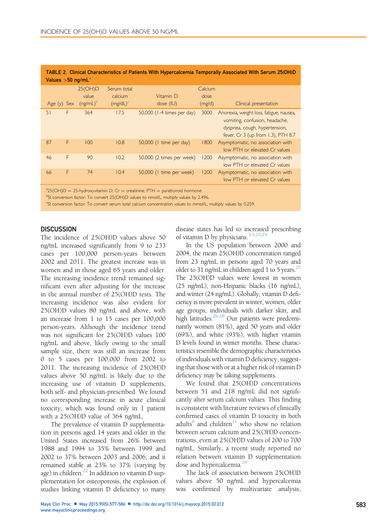| TABLE Z.  Clinical Characteristics of Patients With Hypercalcemia Temporally Associated With Serum Z5(UH)D<br>Values $>50$ ng/mL <sup>a</sup> |               |             |             |                            |         |                                                                                                                                                  |  |  |
|-----------------------------------------------------------------------------------------------------------------------------------------------|---------------|-------------|-------------|----------------------------|---------|--------------------------------------------------------------------------------------------------------------------------------------------------|--|--|
|                                                                                                                                               |               | 25(OH)D     | Serum total |                            | Calcium |                                                                                                                                                  |  |  |
|                                                                                                                                               |               | value       | calcium     | Vitamin D                  | dose    |                                                                                                                                                  |  |  |
|                                                                                                                                               | Age $(y)$ Sex | $(ng/mL)^b$ | $(mg/dL)^c$ | dose $(IV)$                | (mg/d)  | Clinical presentation                                                                                                                            |  |  |
| 51                                                                                                                                            | F             | 364         | 17.5        | 50,000 (1-4 times per day) | 3000    | Anorexia, weight loss, fatigue, nausea,<br>vomiting, confusion, headache,<br>dyspnea, cough, hypertension,<br>fever, Cr 3 (up from 1.3), PTH 8.7 |  |  |
| 87                                                                                                                                            | F             | 100         | 10.8        | 50,000 (1 time per day)    | 1800    | Asymptomatic, no association with<br>low PTH or elevated Cr values                                                                               |  |  |
| 46                                                                                                                                            | F             | 90          | 10.2        | 50,000 (2 times per week)  | 1200    | Asymptomatic, no association with<br>low PTH or elevated Cr values                                                                               |  |  |
| 66                                                                                                                                            | F             | 74          | 10.4        | 50,000 (1 time per week)   | 1200    | Asymptomatic, no association with<br>low PTH or elevated Cr values                                                                               |  |  |

<span id="page-6-0"></span>

|                                 | TABLE 2. Clinical Characteristics of Patients With Hypercalcemia Temporally Associated With Serum 25(OH)D |  |  |  |
|---------------------------------|-----------------------------------------------------------------------------------------------------------|--|--|--|
| Values $>50$ ng/mL <sup>a</sup> |                                                                                                           |  |  |  |

<sup>a</sup>25(OH)D = 25-hydroxyvitamin D; Cr = creatinine; PTH = parathyroid hormone.<br><sup>bc</sup>l conversion factor: To convert 25(OH)D values to amol/L multiply values by 24

<sup>b</sup>SI conversion factor: To convert 25(OH)D values to nmol/L, multiply values by 2.496.

<sup>c</sup>SI conversion factor: To convert serum total calcium concentration values to mmol/L, multiply values by 0.259.

### **DISCUSSION**

The incidence of 25(OH)D values above 50 ng/mL increased significantly from 9 to 233 cases per 100,000 person-years between 2002 and 2011. The greatest increase was in women and in those aged 65 years and older. The increasing incidence trend remained significant even after adjusting for the increase in the annual number of 25(OH)D tests. The increasing incidence was also evident for 25(OH)D values 80 ng/mL and above, with an increase from 1 to 15 cases per 100,000 person-years. Although the incidence trend was not significant for 25(OH)D values 100 ng/mL and above, likely owing to the small sample size, there was still an increase from 0 to 5 cases per 100,000 from 2002 to 2011. The increasing incidence of 25(OH)D values above 50 ng/mL is likely due to the increasing use of vitamin D supplements, both self- and physician-prescribed. We found no corresponding increase in acute clinical toxicity, which was found only in 1 patient with a 25(OH)D value of 364 ng/mL.

The prevalence of vitamin D supplementation in persons aged 14 years and older in the United States increased from 26% between 1988 and 1994 to 35% between 1999 and 2002 to 37% between 2003 and 2006, and it remained stable at 23% to 37% (varying by age) in children.<sup>[22](#page-8-0)</sup> In addition to vitamin D supplementation for osteoporosis, the explosion of studies linking vitamin D deficiency to many

disease states has led to increased prescribing of vitamin D by physicians.<sup>3,5,23,24</sup>

In the US population between 2000 and 2004, the mean 25(OH)D concentration ranged from 23 ng/mL in persons aged 70 years and older to 31 ng/mL in children aged 1 to 5 years. $^{25}$ The 25(OH)D values were lowest in women (25 ng/mL), non-Hispanic blacks (16 ng/mL), and winter (24 ng/mL). Globally, vitamin D deficiency is more prevalent in winter, women, older age groups, individuals with darker skin, and high latitudes.<sup>26-28</sup> Our patients were predominantly women (81%), aged 50 years and older (69%), and white (93%), with higher vitamin D levels found in winter months. These characteristics resemble the demographic characteristics of individuals with vitamin D deficiency, suggesting that those with or at a higher risk of vitamin D deficiency may be taking supplements.

We found that 25(OH)D concentrations between 51 and 218 ng/mL did not significantly alter serum calcium values. This finding is consistent with literature reviews of clinically confirmed cases of vitamin D toxicity in both adults $^{8}$  and children<sup>[11](#page-8-0)</sup> who show no relation between serum calcium and 25(OH)D concentrations, even at 25(OH)D values of 200 to 700 ng/mL. Similarly, a recent study reported no relation between vitamin D supplementation dose and hypercalcemia.<sup>[29](#page-8-0)</sup>

The lack of association between 25(OH)D values above 50 ng/mL and hypercalcemia was confirmed by multivariate analysis,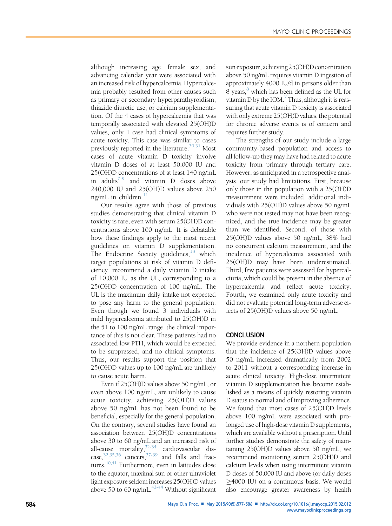although increasing age, female sex, and advancing calendar year were associated with an increased risk of hypercalcemia. Hypercalcemia probably resulted from other causes such as primary or secondary hyperparathyroidism, thiazide diuretic use, or calcium supplementation. Of the 4 cases of hypercalcemia that was temporally associated with elevated 25(OH)D values, only 1 case had clinical symptoms of acute toxicity. This case was similar to cases previously reported in the literature.<sup>[30,31](#page-8-0)</sup> Most cases of acute vitamin D toxicity involve vitamin D doses of at least 50,000 IU and 25(OH)D concentrations of at least 140 ng/mL in adults<sup> $-9$ </sup> and vitamin D doses above 240,000 IU and 25(OH)D values above 250 ng/mL in children. $11$ 

Our results agree with those of previous studies demonstrating that clinical vitamin D toxicity is rare, even with serum 25(OH)D concentrations above 100 ng/mL. It is debatable how these findings apply to the most recent guidelines on vitamin D supplementation. The Endocrine Society guidelines, $13$  which target populations at risk of vitamin D deficiency, recommend a daily vitamin D intake of 10,000 IU as the UL, corresponding to a 25(OH)D concentration of 100 ng/mL. The UL is the maximum daily intake not expected to pose any harm to the general population. Even though we found 3 individuals with mild hypercalcemia attributed to 25(OH)D in the 51 to 100 ng/mL range, the clinical importance of this is not clear. These patients had no associated low PTH, which would be expected to be suppressed, and no clinical symptoms. Thus, our results support the position that 25(OH)D values up to 100 ng/mL are unlikely to cause acute harm.

Even if 25(OH)D values above 50 ng/mL, or even above 100 ng/mL, are unlikely to cause acute toxicity, achieving 25(OH)D values above 50 ng/mL has not been found to be beneficial, especially for the general population. On the contrary, several studies have found an association between 25(OH)D concentrations above 30 to 60 ng/mL and an increased risk of all-cause mortality,<sup>32-34</sup> cardiovascular disease, $32,35,36$  cancers, $37-39$  and falls and fractures. $40,41$  Furthermore, even in latitudes close to the equator, maximal sun or other ultraviolet light exposure seldom increases 25(OH)D values above 50 to 60 ng/mL. $42-44$  Without significant sun exposure, achieving 25(OH)D concentration above 50 ng/mL requires vitamin D ingestion of approximately 4000 IU/d in persons older than 8 years,<sup>8</sup> which has been defined as the UL for vitamin  $D$  by the IOM. $'$  Thus, although it is reassuring that acute vitamin D toxicity is associated with only extreme 25(OH)D values, the potential for chronic adverse events is of concern and requires further study.

The strengths of our study include a large community-based population and access to all follow-up they may have had related to acute toxicity from primary through tertiary care. However, as anticipated in a retrospective analysis, our study had limitations. First, because only those in the population with a 25(OH)D measurement were included, additional individuals with 25(OH)D values above 50 ng/mL who were not tested may not have been recognized, and the true incidence may be greater than we identified. Second, of those with 25(OH)D values above 50 ng/mL, 38% had no concurrent calcium measurement, and the incidence of hypercalcemia associated with 25(OH)D may have been underestimated. Third, few patients were assessed for hypercalciuria, which could be present in the absence of hypercalcemia and reflect acute toxicity. Fourth, we examined only acute toxicity and did not evaluate potential long-term adverse effects of 25(OH)D values above 50 ng/mL.

#### **CONCLUSION**

We provide evidence in a northern population that the incidence of 25(OH)D values above 50 ng/mL increased dramatically from 2002 to 2011 without a corresponding increase in acute clinical toxicity. High-dose intermittent vitamin D supplementation has become established as a means of quickly restoring vitamin D status to normal and of improving adherence. We found that most cases of 25(OH)D levels above 100 ng/mL were associated with prolonged use of high-dose vitamin D supplements, which are available without a prescription. Until further studies demonstrate the safety of maintaining 25(OH)D values above 50 ng/mL, we recommend monitoring serum 25(OH)D and calcium levels when using intermittent vitamin D doses of 50,000 IU and above (or daily doses  $\geq$ 4000 IU) on a continuous basis. We would also encourage greater awareness by health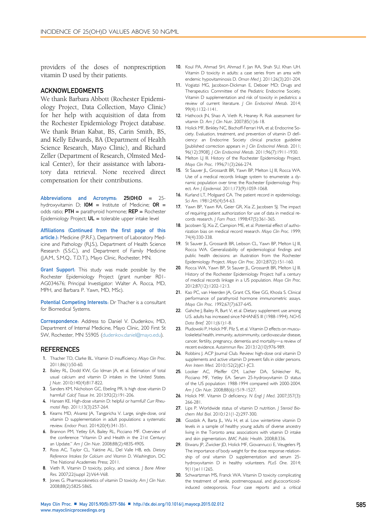<span id="page-8-0"></span>providers of the doses of nonprescription vitamin D used by their patients.

#### ACKNOWLEDGMENTS

We thank Barbara Abbott (Rochester Epidemiology Project, Data Collection, Mayo Clinic) for her help with acquisition of data from the Rochester Epidemiology Project database. We thank Brian Kabat, BS, Carin Smith, BS, and Kelly Edwards, BA (Department of Health Science Research, Mayo Clinic), and Richard Zeller (Department of Research, Olmsted Medical Center), for their assistance with laboratory data retrieval. None received direct compensation for their contributions.

Abbreviations and Acronyms: 25(OH)D = 25 hydroxyvitamin D;  $10M =$  Institute of Medicine;  $OR =$ odds ratio;  $PTH =$  parathyroid hormone;  $REF =$  Rochester Epidemiology Project;  $UL =$  tolerable upper intake level

Affiliations (Continued from the first page of this article.): Medicine (P.R.F.), Department of Laboratory Medicine and Pathology (R.J.S.), Department of Health Science Research (S.S.C.), and Department of Family Medicine (J.A.M., S.M.Q., T.D.T.), Mayo Clinic, Rochester, MN.

Grant Support: This study was made possible by the Rochester Epidemiology Project (grant number R01- AG034676; Principal Investigator: Walter A. Rocca, MD, MPH, and Barbara P. Yawn, MD, MSc).

Potential Competing Interests: Dr Thacher is a consultant for Biomedical Systems.

Correspondence: Address to Daniel V. Dudenkov, MD, Department of Internal Medicine, Mayo Clinic, 200 First St SW, Rochester, MN 55905 ([dudenkov.daniel@mayo.edu\)](mailto:dudenkov.daniel@mayo.edu).

#### REFERENCES

- 1. Thacher TD, Clarke BL. Vitamin D insufficiency. Mayo Clin Proc. 2011;86(1):50-60.
- 2. Bailey RL, Dodd KW, Go Idman JA, et al. Estimation of total usual calcium and vitamin D intakes in the United States. J Nutr. 2010;140(4):817-822.
- 3. Sanders KM, Nicholson GC, Ebeling PR. Is high dose vitamin D harmful? Calcif Tissue Int. 2013;92(2):191-206.
- 4. Hansen KE. High-dose vitamin D: helpful or harmful? Curr Rheumatol Rep. 2011;13(3):257-264.
- 5. Kearns MD, Alvarez JA, Tangpricha V. Large, single-dose, oral vitamin D supplementation in adult populations: a systematic review. Endocr Pract. 2014;20(4):341-351.
- 6. Brannon PM, Yetley EA, Bailey RL, Picciano MF. Overview of the conference "Vitamin D and Health in the 21st Century: an Update." Am | Clin Nutr. 2008;88(2):483S-490S.
- 7. Ross AC, Taylor CL, Yaktine AL, Del Valle HB, eds. Dietary Reference Intakes for Calcium and Vitamin D. Washington, DC: The National Academies Press; 2011.
- 8. Vieth R. Vitamin D toxicity, policy, and science. J Bone Miner Res. 2007;22(suppl 2):V64-V68.
- 9. Jones G. Pharmacokinetics of vitamin D toxicity. Am J Clin Nutr. 2008;88(2):582S-586S.
- 10. Koul PA, Ahmad SH, Ahmad F, Jan RA, Shah SU, Khan UH. Vitamin D toxicity in adults: a case series from an area with endemic hypovitaminosis D. Oman Med J. 2011;26(3):201-204.
- 11. Vogiatzi MG, Jacobson-Dickman E, Deboer MD; Drugs and Therapeutics Committee of the Pediatric Endocrine Society. Vitamin D supplementation and risk of toxicity in pediatrics: a review of current literature. J Clin Endocrinol Metab. 2014; 99(4):1132-1141.
- 12. Hathcock JN, Shao A, Vieth R, Heaney R. Risk assessment for vitamin D. Am J Clin Nutr. 2007;85(1):6-18.
- 13. Holick MF, Binkley NC, Bischoff-Ferrari HA, et al; Endocrine Society. Evaluation, treatment, and prevention of vitamin D deficiency: an Endocrine Society clinical practice guideline [published correction appears in J Clin Endocrinol Metab. 2011; 96(12):3908]. J Clin Endocrinol Metab. 2011;96(7):1911-1930.
- 14. Melton LJ III. History of the Rochester Epidemiology Project. Mayo Clin Proc. 1996;71(3):266-274.
- 15. St Sauver JL, Grossardt BR, Yawn BP, Melton LJ III, Rocca WA. Use of a medical records linkage system to enumerate a dynamic population over time: the Rochester Epidemiology Project. Am | Epidemiol. 2011;173(9):1059-1068.
- 16. Kurland LT, Molgaard CA. The patient record in epidemiology. Sci Am. 1981;245(4):54-63.
- 17. Yawn BP, Yawn RA, Geier GR, Xia Z, Jacobsen SJ. The impact of requiring patient authorization for use of data in medical records research. J Fam Pract. 1998;47(5):361-365.
- 18. Jacobsen SJ, Xia Z, Campion ME, et al. Potential effect of authorization bias on medical record research. Mayo Clin Proc. 1999; 74(4):330-338.
- 19. St Sauver JL, Grossardt BR, Leibson CL, Yawn BP, Melton LJ III, Rocca WA. Generalizability of epidemiological findings and public health decisions: an illustration from the Rochester Epidemiology Project. Mayo Clin Proc. 2012;87(2):151-160.
- 20. Rocca WA, Yawn BP, St Sauver JL, Grossardt BR, Melton LJ III. History of the Rochester Epidemiology Project: half a century of medical records linkage in a US population. Mayo Clin Proc. 2012;87(12):1202-1213.
- 21. Kao PC, van Heerden JA, Grant CS, Klee GG, Khosla S. Clinical performance of parathyroid hormone immunometric assays. Mayo Clin Proc. 1992;67(7):637-645.
- 22. Gahche J, Bailey R, Burt V, et al. Dietary supplement use among U.S. adults has increased since NHANES III (1988-1994). NCHS Data Brief. 2011;(61):1-8.
- 23. Pludowski P, Holick MF, Pilz S, et al. Vitamin D effects on musculoskeletal health, immunity, autoimmunity, cardiovascular disease, cancer, fertility, pregnancy, dementia and mortality-a review of recent evidence. Autoimmun Rev. 2013;12(10):976-989.
- 24. Robbins J. ACP Journal Club. Review: high-dose oral vitamin D supplements and active vitamin D prevent falls in older persons. Ann Intern Med. 2010;152(2):JC1-JC3.
- 25. Looker AC, Pfeiffer CM, Lacher DA, Schleicher RL, Picciano MF, Yetley EA. Serum 25-hydroxyvitamin D status of the US population: 1988-1994 compared with 2000-2004. Am | Clin Nutr. 2008;88(6):1519-1527.
- 26. Holick MF. Vitamin D deficiency. N Engl J Med. 2007;357(3): 266-281.
- 27. Lips P. Worldwide status of vitamin D nutrition. | Steroid Biochem Mol Biol. 2010;121(1-2):297-300.
- 28. Gozdzik A, Barta JL, Wu H, et al. Low wintertime vitamin D levels in a sample of healthy young adults of diverse ancestry living in the Toronto area: associations with vitamin D intake and skin pigmentation. BMC Public Health. 2008;8:336.
- 29. Ekwaru JP, Zwicker JD, Holick MF, Giovannucci E, Veugelers PJ. The importance of body weight for the dose response relationship of oral vitamin D supplementation and serum 25 hydroxyvitamin D in healthy volunteers. PLoS One. 2014; 9(11):e111265.
- 30. Schwartzman MS, Franck WA. Vitamin D toxicity complicating the treatment of senile, postmenopausal, and glucocorticoidinduced osteoporosis. Four case reports and a critical